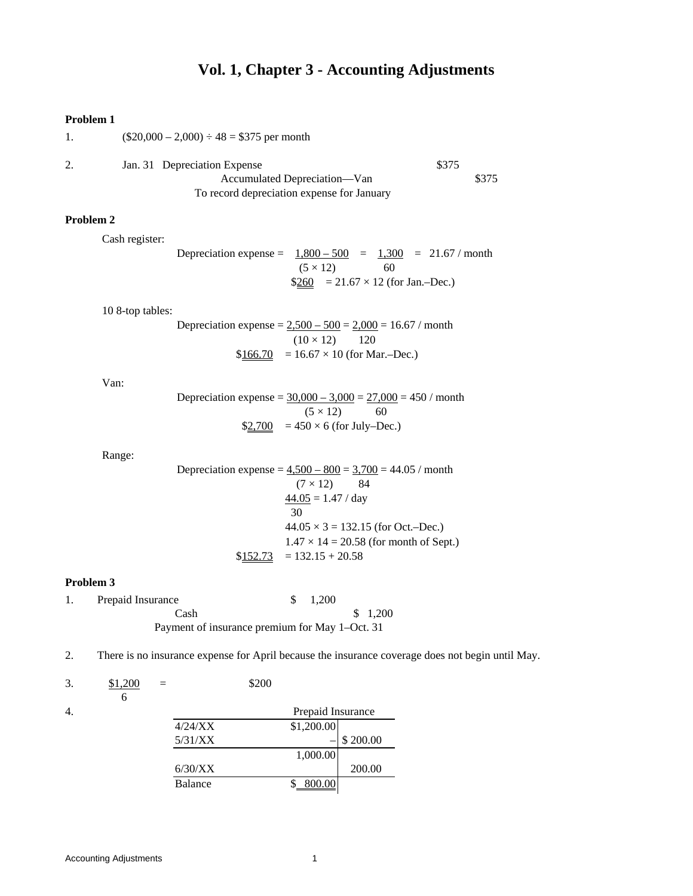# **Vol. 1, Chapter 3 - Accounting Adjustments**

#### **Problem 1**

| -1. | $(\$20,000 - 2,000) \div 48 = \$375$ per month                                                             |       |       |
|-----|------------------------------------------------------------------------------------------------------------|-------|-------|
|     | Jan. 31 Depreciation Expense<br>Accumulated Depreciation—Van<br>To record depreciation expense for January | \$375 | \$375 |

## **Problem 2**

Cash register:

| Depreciation expense = $1,800 - 500 = 1,300 = 21.67$ / month |                                           |     |  |
|--------------------------------------------------------------|-------------------------------------------|-----|--|
|                                                              | $(5 \times 12)$                           | -60 |  |
|                                                              | \$260 = $21.67 \times 12$ (for Jan.-Dec.) |     |  |

10 8-top tables:

Depreciation expense =  $2,500 - 500 = 2,000 = 16.67$  / month  $(10 \times 12)$  120  $$166.70 = 16.67 \times 10 \text{ (for Mar.-Dec.)}$ 

Van:

Depreciation expense =  $30,000 - 3,000 = 27,000 = 450$  / month  $(5 \times 12)$  60  $$2,700 = 450 \times 6 \text{ (for July–Dec.)}$ 

Range:

Depreciation expense = 
$$
\frac{4,500 - 800}{(7 \times 12)} = \frac{3,700}{84}
$$
  
\n $\frac{44.05}{30} = 1.47 / \text{ day}$   
\n30  
\n $44.05 \times 3 = 132.15 \text{ (for Oct.-Dec.)}$   
\n $1.47 \times 14 = 20.58 \text{ (for month of Sept.)}$   
\n\$152.73 = 132.15 + 20.58

#### **Problem 3**

| Prepaid Insurance                              | $\frac{\$}{1.200}$ |          |
|------------------------------------------------|--------------------|----------|
| Cash                                           |                    | \$ 1.200 |
| Payment of insurance premium for May 1–Oct. 31 |                    |          |

2. There is no insurance expense for April because the insurance coverage does not begin until May.

| 3. | \$1,200<br>6 |         | \$200 |                   |          |
|----|--------------|---------|-------|-------------------|----------|
| 4. |              |         |       | Prepaid Insurance |          |
|    |              | 4/24/XX |       | \$1,200.00        |          |
|    |              | 5/31/XX |       | -                 | \$200.00 |
|    |              |         |       | 1,000.00          |          |
|    |              | 6/30/XX |       |                   | 200.00   |
|    |              | Balance |       | 800.00            |          |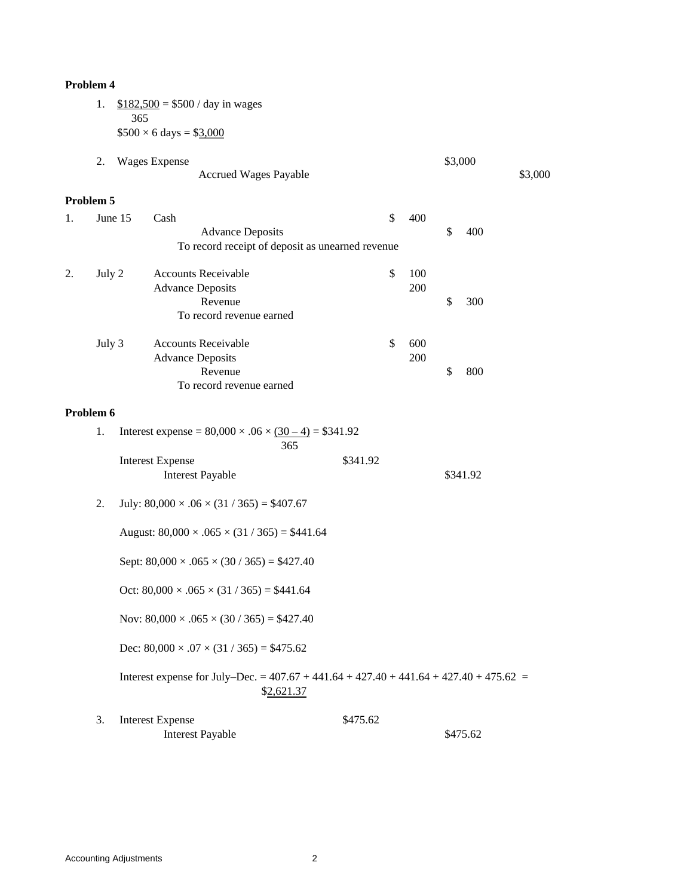|           | 1.     |         |                                       | $$182,500 = $500 / day$ in wages |                                                                                                        |          |           |           |         |
|-----------|--------|---------|---------------------------------------|----------------------------------|--------------------------------------------------------------------------------------------------------|----------|-----------|-----------|---------|
|           |        | 365     |                                       |                                  |                                                                                                        |          |           |           |         |
|           |        |         | $$500 \times 6 \text{ days} = $3,000$ |                                  |                                                                                                        |          |           |           |         |
|           | 2.     |         | <b>Wages Expense</b>                  |                                  |                                                                                                        |          |           | \$3,000   |         |
|           |        |         |                                       |                                  | <b>Accrued Wages Payable</b>                                                                           |          |           |           | \$3,000 |
| Problem 5 |        |         |                                       |                                  |                                                                                                        |          |           |           |         |
| 1.        |        | June 15 | Cash                                  |                                  |                                                                                                        |          | \$<br>400 |           |         |
|           |        |         |                                       | <b>Advance Deposits</b>          |                                                                                                        |          |           | \$<br>400 |         |
|           |        |         |                                       |                                  | To record receipt of deposit as unearned revenue                                                       |          |           |           |         |
| 2.        |        |         |                                       | Accounts Receivable              |                                                                                                        |          | \$<br>100 |           |         |
|           | July 2 |         | <b>Advance Deposits</b>               |                                  |                                                                                                        |          | 200       |           |         |
|           |        |         |                                       | Revenue                          |                                                                                                        |          |           | \$<br>300 |         |
|           |        |         |                                       | To record revenue earned         |                                                                                                        |          |           |           |         |
|           |        |         |                                       | Accounts Receivable              |                                                                                                        |          | \$<br>600 |           |         |
|           | July 3 |         | <b>Advance Deposits</b>               |                                  |                                                                                                        |          | 200       |           |         |
|           |        |         |                                       | Revenue                          |                                                                                                        |          |           | \$<br>800 |         |
|           |        |         |                                       | To record revenue earned         |                                                                                                        |          |           |           |         |
|           |        |         |                                       |                                  |                                                                                                        |          |           |           |         |
| Problem 6 |        |         |                                       |                                  |                                                                                                        |          |           |           |         |
|           | 1.     |         |                                       |                                  | Interest expense = $80,000 \times .06 \times (30 - 4) = $341.92$<br>365                                |          |           |           |         |
|           |        |         | <b>Interest Expense</b>               |                                  |                                                                                                        | \$341.92 |           |           |         |
|           |        |         |                                       | <b>Interest Payable</b>          |                                                                                                        |          |           | \$341.92  |         |
|           | 2.     |         |                                       |                                  | July: $80,000 \times .06 \times (31 / 365) = $407.67$                                                  |          |           |           |         |
|           |        |         |                                       |                                  | August: $80,000 \times .065 \times (31 / 365) = $441.64$                                               |          |           |           |         |
|           |        |         |                                       |                                  | Sept: $80,000 \times .065 \times (30 / 365) = $427.40$                                                 |          |           |           |         |
|           |        |         |                                       |                                  | Oct: $80,000 \times .065 \times (31 / 365) = $441.64$                                                  |          |           |           |         |
|           |        |         |                                       |                                  | Nov: $80,000 \times .065 \times (30 / 365) = $427.40$                                                  |          |           |           |         |
|           |        |         |                                       |                                  | Dec: $80,000 \times .07 \times (31 / 365) = $475.62$                                                   |          |           |           |         |
|           |        |         |                                       |                                  | Interest expense for July–Dec. = $407.67 + 441.64 + 427.40 + 441.64 + 427.40 + 475.62$ =<br>\$2,621.37 |          |           |           |         |
|           | 3.     |         | <b>Interest Expense</b>               |                                  |                                                                                                        | \$475.62 |           |           |         |
|           |        |         |                                       | <b>Interest Payable</b>          |                                                                                                        |          |           | \$475.62  |         |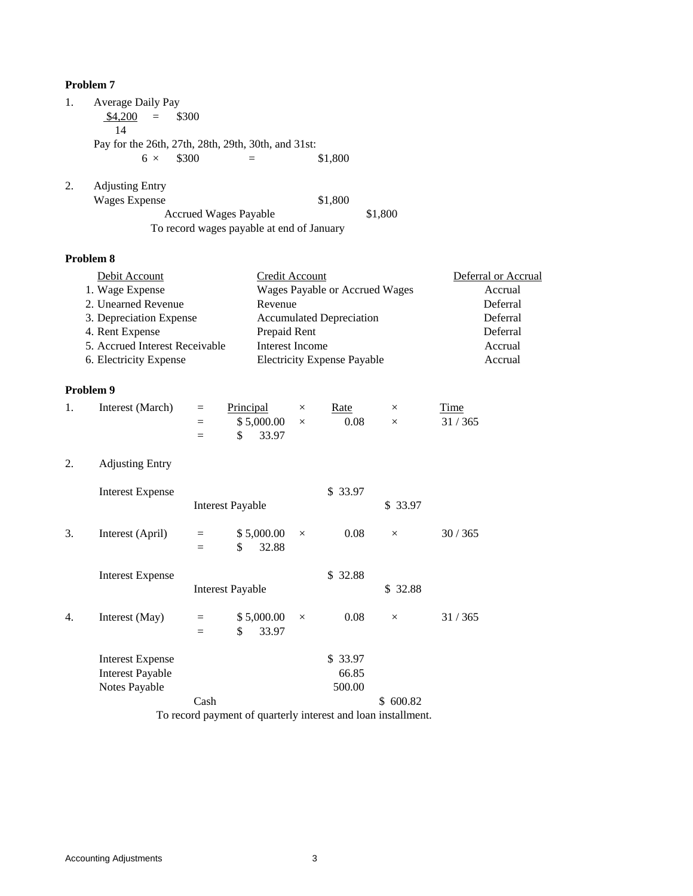| 1. | Average Daily Pay<br>$$4,200 =$                     | \$300 |         |
|----|-----------------------------------------------------|-------|---------|
|    | 14                                                  |       |         |
|    | Pay for the 26th, 27th, 28th, 29th, 30th, and 31st: |       |         |
|    | $6 \times$ \$300                                    |       | \$1,800 |
|    | $\Lambda$ distribution $\Gamma$ is the set          |       |         |

2. Adjusting Entry Wages Expense \$1,800 Accrued Wages Payable \$1,800 To record wages payable at end of January

#### **Problem 8**

| Debit Account                  | Credit Account                     | Deferral or Accrual |
|--------------------------------|------------------------------------|---------------------|
| 1. Wage Expense                | Wages Payable or Accrued Wages     | Accrual             |
| 2. Unearned Revenue            | Revenue                            | Deferral            |
| 3. Depreciation Expense        | <b>Accumulated Depreciation</b>    | Deferral            |
| 4. Rent Expense                | Prepaid Rent                       | Deferral            |
| 5. Accrued Interest Receivable | <b>Interest Income</b>             | Accrual             |
| 6. Electricity Expense         | <b>Electricity Expense Payable</b> | Accrual             |

### **Problem 9**

| 1. | $Interest (March) = Principal$ |         |                    | $\times$ | <u>Rate</u> | <u>Time</u> |
|----|--------------------------------|---------|--------------------|----------|-------------|-------------|
|    |                                | $=$ $-$ | $$5,000.00 \times$ |          | 0.08        | 31/365      |
|    |                                | $=$ $-$ | \$ 33.97           |          |             |             |

2. Adjusting Entry

| <b>Interest Expense</b> |      |             |                                                                   | \$ 33.97 |               |          |
|-------------------------|------|-------------|-------------------------------------------------------------------|----------|---------------|----------|
|                         |      |             |                                                                   |          |               |          |
| Interest (April)        | $=$  | \$5,000.00  | $\times$                                                          | 0.08     | $\times$      | 30/365   |
|                         |      |             |                                                                   |          |               |          |
| <b>Interest Expense</b> |      |             |                                                                   | \$ 32.88 |               |          |
|                         |      |             |                                                                   |          | \$ 32.88      |          |
| Interest (May)          | $=$  | \$5,000.00  | $\times$                                                          | 0.08     | $\times$      | 31/365   |
|                         | $=$  | 33.97<br>\$ |                                                                   |          |               |          |
| Interest Expense        |      |             |                                                                   | \$ 33.97 |               |          |
| <b>Interest Payable</b> |      |             |                                                                   | 66.85    |               |          |
| Notes Payable           |      |             |                                                                   | 500.00   |               |          |
|                         | Cash |             |                                                                   |          | 600.82<br>\$. |          |
|                         |      | $=$         | <b>Interest Payable</b><br>32.88<br>\$<br><b>Interest Payable</b> |          |               | \$ 33.97 |

To record payment of quarterly interest and loan installment.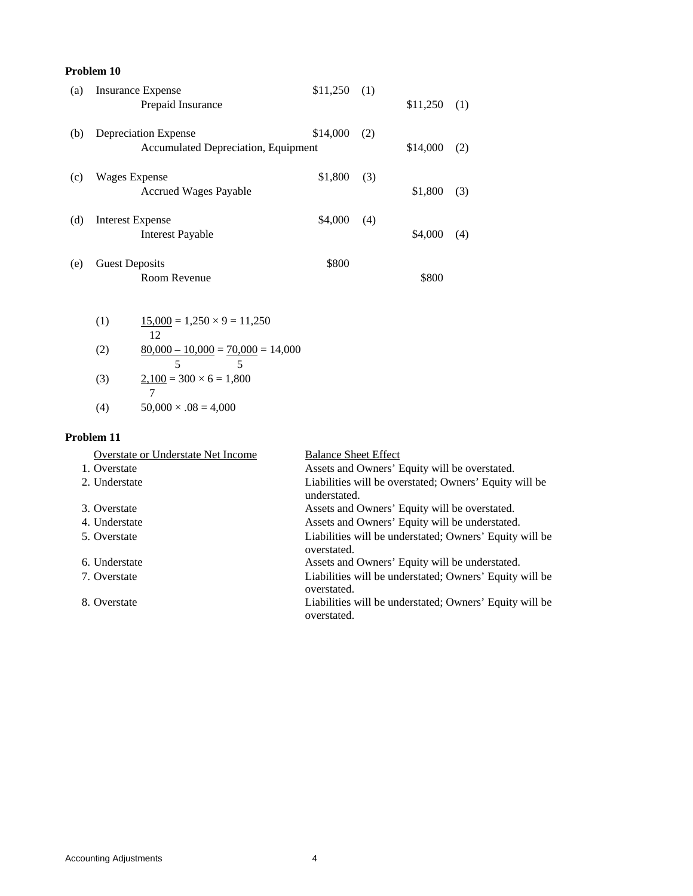## **Problem 10**  (a) Insurance Expense \$11,250 (1) Prepaid Insurance \$11,250 (1) (b) Depreciation Expense \$14,000 (2) Accumulated Depreciation, Equipment \$14,000 (2) (c) Wages Expense  $$1,800$  (3) Accrued Wages Payable  $$1,800$  (3) (d) Interest Expense \$4,000 (4) Interest Payable  $\$4,000$  (4) (e) Guest Deposits \$800 Room Revenue  $$800$

(1) 
$$
\frac{15,000}{12} = 1,250 \times 9 = 11,250
$$

(2) 
$$
\frac{80,000 - 10,000}{5} = \frac{70,000}{5} = 14,000
$$
  
(3) 
$$
\frac{2,100}{7} = 300 \times 6 = 1,800
$$

$$
(4) \qquad \qquad 50,000 \times .08 = 4,000
$$

| Overstate or Understate Net Income | <b>Balance Sheet Effect</b>                                            |
|------------------------------------|------------------------------------------------------------------------|
| 1. Overstate                       | Assets and Owners' Equity will be overstated.                          |
| 2. Understate                      | Liabilities will be overstated; Owners' Equity will be<br>understated. |
| 3. Overstate                       | Assets and Owners' Equity will be overstated.                          |
| 4. Understate                      | Assets and Owners' Equity will be understated.                         |
| 5. Overstate                       | Liabilities will be understated; Owners' Equity will be<br>overstated. |
| 6. Understate                      | Assets and Owners' Equity will be understated.                         |
| 7. Overstate                       | Liabilities will be understated; Owners' Equity will be<br>overstated. |
| 8. Overstate                       | Liabilities will be understated; Owners' Equity will be<br>overstated. |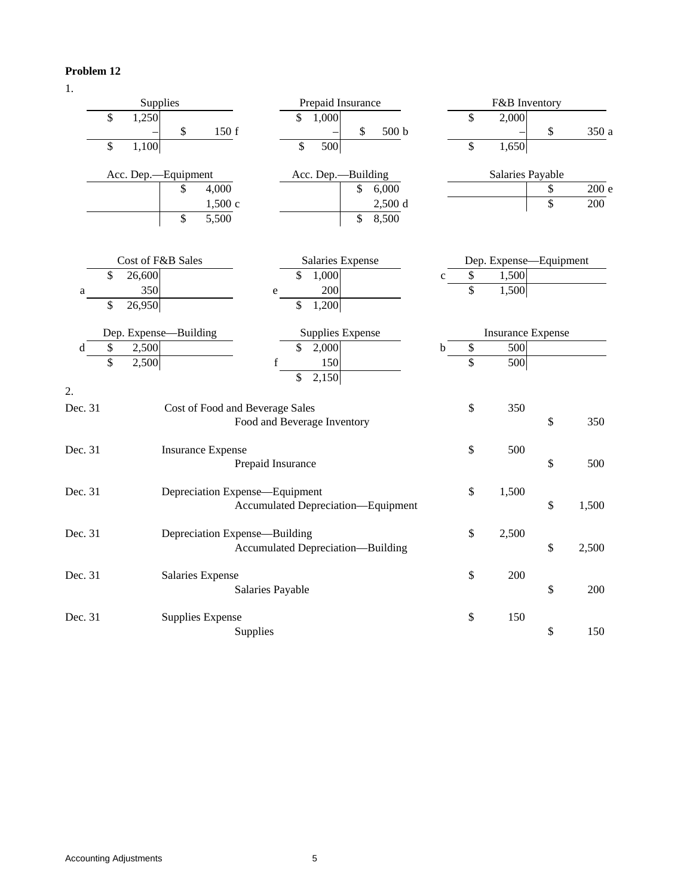| .,      |                         | Supplies              |                          |                                                                | Prepaid Insurance       |                                    |             |                         | F&B Inventory            |             |
|---------|-------------------------|-----------------------|--------------------------|----------------------------------------------------------------|-------------------------|------------------------------------|-------------|-------------------------|--------------------------|-------------|
|         | \$                      | 1,250                 |                          |                                                                | \$<br>1,000             |                                    |             | \$                      | 2,000                    |             |
|         |                         |                       | \$<br>150 f              |                                                                |                         | \$<br>500 b                        |             |                         |                          | \$<br>350 a |
|         | \$                      | 1,100                 |                          |                                                                | \$<br>500               |                                    |             | \$                      | 1,650                    |             |
|         |                         | Acc. Dep.-Equipment   |                          |                                                                | Acc. Dep.—Building      |                                    |             |                         | Salaries Payable         |             |
|         |                         |                       | \$<br>4,000              |                                                                |                         | \$<br>6,000                        |             |                         |                          | \$<br>200e  |
|         |                         |                       | 1,500c                   |                                                                |                         | 2,500 d                            |             |                         |                          | \$<br>200   |
|         |                         |                       | \$<br>5,500              |                                                                |                         | \$<br>8,500                        |             |                         |                          |             |
|         |                         | Cost of F&B Sales     |                          |                                                                | Salaries Expense        |                                    |             |                         | Dep. Expense—Equipment   |             |
|         | \$                      | 26,600                |                          |                                                                | \$<br>1,000             |                                    | $\mathbf c$ | \$                      | 1,500                    |             |
|         |                         | 350                   |                          | e                                                              | 200                     |                                    |             | $\overline{\mathbb{S}}$ | 1,500                    |             |
| a       | \$                      | 26,950                |                          |                                                                | \$<br>1,200             |                                    |             |                         |                          |             |
|         |                         | Dep. Expense-Building |                          |                                                                | <b>Supplies Expense</b> |                                    |             |                         | <b>Insurance Expense</b> |             |
| d       | \$                      | 2,500                 |                          |                                                                | \$<br>2,000             |                                    | b           | \$                      | 500                      |             |
|         | $\overline{\mathsf{s}}$ | 2,500                 |                          | $\mathbf f$                                                    | 150                     |                                    |             | $\overline{\mathbb{S}}$ | 500                      |             |
|         |                         |                       |                          |                                                                | \$<br>2,150             |                                    |             |                         |                          |             |
| 2.      |                         |                       |                          |                                                                |                         |                                    |             |                         |                          |             |
| Dec. 31 |                         |                       |                          | Cost of Food and Beverage Sales<br>Food and Beverage Inventory |                         |                                    |             | \$                      | 350                      | \$<br>350   |
|         |                         |                       |                          |                                                                |                         |                                    |             |                         |                          |             |
| Dec. 31 |                         |                       | <b>Insurance Expense</b> |                                                                |                         |                                    |             | \$                      | 500                      |             |
|         |                         |                       |                          | Prepaid Insurance                                              |                         |                                    |             |                         |                          | \$<br>500   |
| Dec. 31 |                         |                       |                          | Depreciation Expense—Equipment                                 |                         |                                    |             | \$                      | 1,500                    |             |
|         |                         |                       |                          |                                                                |                         | Accumulated Depreciation-Equipment |             |                         |                          | \$<br>1,500 |
|         |                         |                       |                          |                                                                |                         |                                    |             |                         |                          |             |
| Dec. 31 |                         |                       |                          | Depreciation Expense—Building                                  |                         |                                    |             | \$                      | 2,500                    |             |
|         |                         |                       |                          | Accumulated Depreciation-Building                              |                         |                                    |             |                         |                          | \$<br>2,500 |
| Dec. 31 |                         |                       | Salaries Expense         |                                                                |                         |                                    |             | \$                      | 200                      |             |
|         |                         |                       |                          | Salaries Payable                                               |                         |                                    |             |                         |                          | \$<br>200   |
| Dec. 31 |                         |                       | <b>Supplies Expense</b>  |                                                                |                         |                                    |             | \$                      | 150                      |             |
|         |                         |                       |                          | Supplies                                                       |                         |                                    |             |                         |                          | \$<br>150   |
|         |                         |                       |                          |                                                                |                         |                                    |             |                         |                          |             |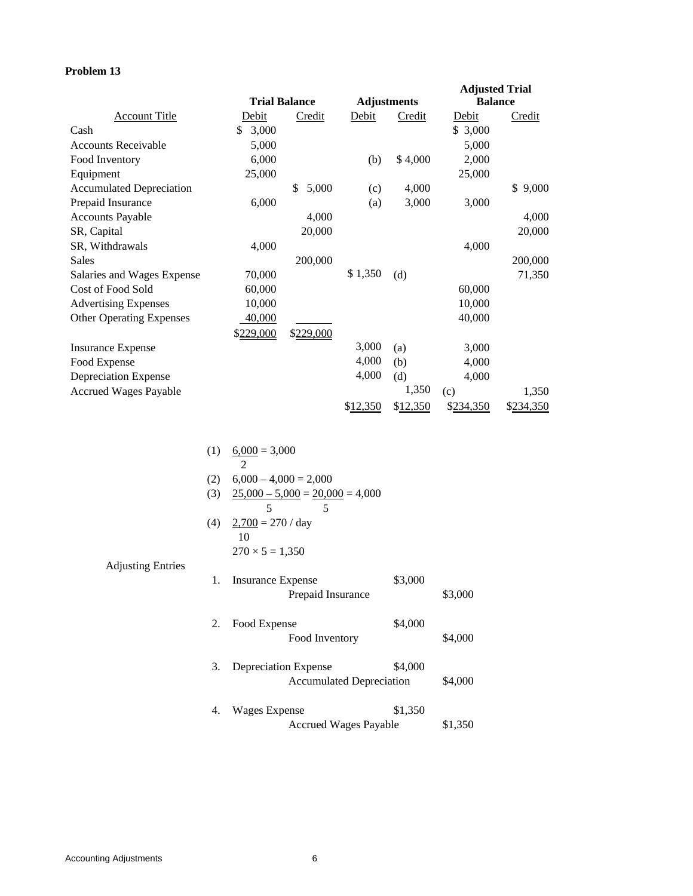|                                 |                      |             |                    |          | <b>Adjusted Trial</b> |             |
|---------------------------------|----------------------|-------------|--------------------|----------|-----------------------|-------------|
|                                 | <b>Trial Balance</b> |             | <b>Adjustments</b> |          | <b>Balance</b>        |             |
| <b>Account Title</b>            | <b>Debit</b>         | Credit      | Debit              | Credit   | Debit                 | Credit      |
| Cash                            | 3,000<br>\$          |             |                    |          | \$3,000               |             |
| <b>Accounts Receivable</b>      | 5,000                |             |                    |          | 5,000                 |             |
| Food Inventory                  | 6,000                |             | (b)                | \$4,000  | 2,000                 |             |
| Equipment                       | 25,000               |             |                    |          | 25,000                |             |
| <b>Accumulated Depreciation</b> |                      | \$<br>5,000 | (c)                | 4,000    |                       | \$<br>9,000 |
| Prepaid Insurance               | 6,000                |             | (a)                | 3,000    | 3,000                 |             |
| <b>Accounts Payable</b>         |                      | 4,000       |                    |          |                       | 4,000       |
| SR, Capital                     |                      | 20,000      |                    |          |                       | 20,000      |
| SR, Withdrawals                 | 4,000                |             |                    |          | 4,000                 |             |
| <b>Sales</b>                    |                      | 200,000     |                    |          |                       | 200,000     |
| Salaries and Wages Expense      | 70,000               |             | \$1,350            | (d)      |                       | 71,350      |
| Cost of Food Sold               | 60,000               |             |                    |          | 60,000                |             |
| <b>Advertising Expenses</b>     | 10,000               |             |                    |          | 10,000                |             |
| <b>Other Operating Expenses</b> | 40,000               |             |                    |          | 40,000                |             |
|                                 | \$229,000            | \$229,000   |                    |          |                       |             |
| <b>Insurance Expense</b>        |                      |             | 3,000              | (a)      | 3,000                 |             |
| Food Expense                    |                      |             | 4,000              | (b)      | 4,000                 |             |
| Depreciation Expense            |                      |             | 4,000              | (d)      | 4,000                 |             |
| <b>Accrued Wages Payable</b>    |                      |             |                    | 1,350    | (c)                   | 1,350       |
|                                 |                      |             | \$12,350           | \$12,350 | \$234,350             | \$234,350   |

|                          | (1) | $\underline{6,000} = 3,000$       |         |         |
|--------------------------|-----|-----------------------------------|---------|---------|
|                          |     | 2                                 |         |         |
|                          | (2) | $6,000 - 4,000 = 2,000$           |         |         |
|                          | (3) | $25,000 - 5,000 = 20,000 = 4,000$ |         |         |
|                          |     | 5<br>5                            |         |         |
|                          | (4) | $2,700 = 270 / day$               |         |         |
|                          |     | 10                                |         |         |
|                          |     | $270 \times 5 = 1,350$            |         |         |
| <b>Adjusting Entries</b> |     |                                   |         |         |
|                          | 1.  | <b>Insurance Expense</b>          | \$3,000 |         |
|                          |     | Prepaid Insurance                 | \$3,000 |         |
|                          | 2.  | Food Expense                      | \$4,000 |         |
|                          |     | Food Inventory                    |         | \$4,000 |
|                          |     |                                   |         |         |
|                          | 3.  | Depreciation Expense              | \$4,000 |         |
|                          |     | <b>Accumulated Depreciation</b>   |         | \$4,000 |
|                          | 4.  |                                   |         |         |
|                          |     | <b>Wages Expense</b>              | \$1,350 |         |
|                          |     | <b>Accrued Wages Payable</b>      |         | \$1,350 |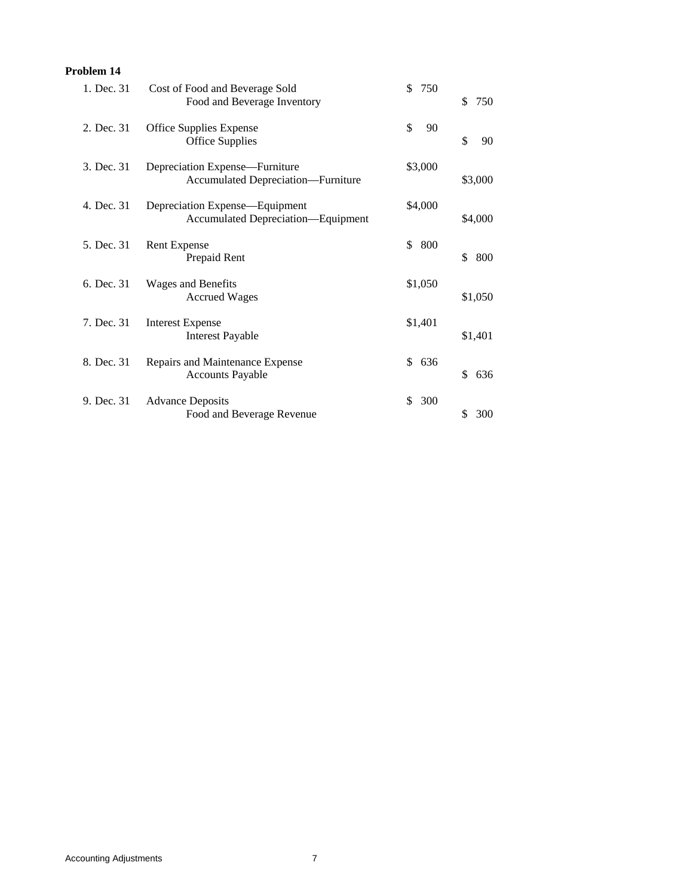| 1. Dec. 31 | Cost of Food and Beverage Sold<br>Food and Beverage Inventory        | \$750      | \$<br>750 |
|------------|----------------------------------------------------------------------|------------|-----------|
| 2. Dec. 31 | <b>Office Supplies Expense</b><br><b>Office Supplies</b>             | \$<br>90   | \$<br>90  |
| 3. Dec. 31 | Depreciation Expense—Furniture<br>Accumulated Depreciation-Furniture | \$3,000    | \$3,000   |
| 4. Dec. 31 | Depreciation Expense—Equipment<br>Accumulated Depreciation—Equipment | \$4,000    | \$4,000   |
| 5. Dec. 31 | Rent Expense<br>Prepaid Rent                                         | \$<br>800  | \$<br>800 |
| 6. Dec. 31 | <b>Wages and Benefits</b><br><b>Accrued Wages</b>                    | \$1,050    | \$1,050   |
| 7. Dec. 31 | Interest Expense<br><b>Interest Payable</b>                          | \$1,401    | \$1,401   |
| 8. Dec. 31 | Repairs and Maintenance Expense<br><b>Accounts Payable</b>           | \$<br>636  | \$<br>636 |
| 9. Dec. 31 | <b>Advance Deposits</b><br>Food and Beverage Revenue                 | 300<br>\$. | \$<br>300 |